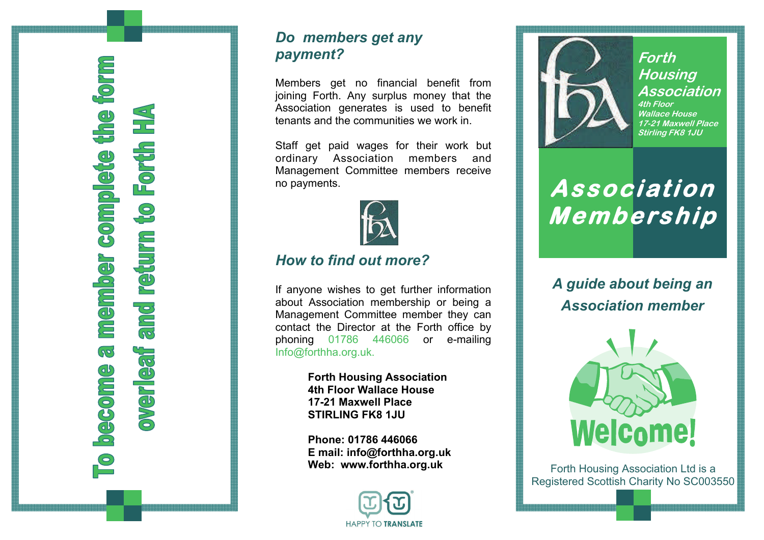**member complete the form** to Forth HA and return  $\overline{\mathcal{S}}$ **JPS LISAL Become**  $\overline{\mathsf{C}}$ 

## *Do members get any payment?*

Members get no financial benefit from joining Forth. Any surplus money that the Association generates is used to benefit tenants and the communities we work in.

Staff get paid wages for their work but ordinary Association members and Management Committee members receive no payments.



### *How to find out more?*

If anyone wishes to get further information about Association membership or being a Management Committee member they can contact the Director at the Forth office by phoning 01786 446066 or e-mailing Info@forthha.org.uk.

> **Forth Housing Association 4th Floor Wallace House 17-21 Maxwell Place STIRLING FK8 1JU**

**Phone: 01786 446066 E mail: info@forthha.org.uk Web: www.forthha.org.uk** 





**Forth Housing Association 4th Floor Wallace House 17-21 Maxwell Place Stirling FK8 1JU** 

# **Association Membership**

*A guide about being an Association member* 



Forth Housing Association Ltd is a Registered Scottish Charity No SC003550